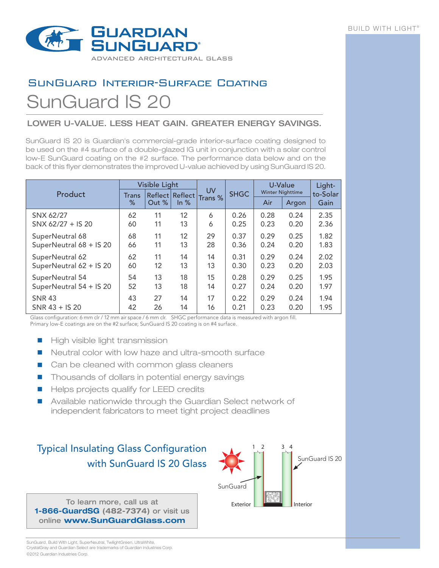

## SunGuard Interior-Surface Coating SunGuard IS 20

## LOWER U-VALUE. LESS HEAT GAIN. GREATER ENERGY SAVINGS.

SunGuard IS 20 is Guardian's commercial-grade interior-surface coating designed to be used on the #4 surface of a double-glazed IG unit in conjunction with a solar control low-E SunGuard coating on the #2 surface. The performance data below and on the back of this flyer demonstrates the improved U-value achieved by using SunGuard IS 20.

|                         |                    | <b>Visible Light</b> |                 | <b>UV</b><br>Trans % | <b>SHGC</b> | U-Value                 | Light-<br>to-Solar |      |
|-------------------------|--------------------|----------------------|-----------------|----------------------|-------------|-------------------------|--------------------|------|
| Product                 | <b>Trans</b>       |                      | Reflect Reflect |                      |             | <b>Winter Nighttime</b> |                    |      |
|                         | %<br>Out %<br>ln % |                      |                 |                      | Air         | Argon                   | Gain               |      |
| SNX 62/27               | 62                 | 11                   | 12              | 6                    | 0.26        | 0.28                    | 0.24               | 2.35 |
| SNX 62/27 + IS 20       | 60                 | 11                   | 13              | 6                    | 0.25        | 0.23                    | 0.20               | 2.36 |
| SuperNeutral 68         | 68                 | 11                   | 12              | 29                   | 0.37        | 0.29                    | 0.25               | 1.82 |
| SuperNeutral 68 + IS 20 | 66                 | 11                   | 13              | 28                   | 0.36        | 0.24                    | 0.20               | 1.83 |
| SuperNeutral 62         | 62                 | 11                   | 14              | 14                   | 0.31        | 0.29                    | 0.24               | 2.02 |
| SuperNeutral 62 + IS 20 | 60                 | 12                   | 13              | 13                   | 0.30        | 0.23                    | 0.20               | 2.03 |
| SuperNeutral 54         | 54                 | 13                   | 18              | 15                   | 0.28        | 0.29                    | 0.25               | 1.95 |
| SuperNeutral 54 + IS 20 | 52                 | 13                   | 18              | 14                   | 0.27        | 0.24                    | 0.20               | 1.97 |
| <b>SNR 43</b>           | 43                 | 27                   | 14              | 17                   | 0.22        | 0.29                    | 0.24               | 1.94 |
| $SNR 43 + IS 20$        | 42                 | 26                   | 14              | 16                   | 0.21        | 0.23                    | 0.20               | 1.95 |

Glass configuration: 6 mm clr / 12 mm air space / 6 mm clr. SHGC performance data is measured with argon fill. Primary low-E coatings are on the #2 surface; SunGuard IS 20 coating is on #4 surface.

- High visible light transmission
- Neutral color with low haze and ultra-smooth surface
- Can be cleaned with common glass cleaners
- Thousands of dollars in potential energy savings
- Helps projects qualify for LEED credits
- Available nationwide through the Guardian Select network of independent fabricators to meet tight project deadlines

## Typical Insulating Glass Configuration with SunGuard IS 20 Glass

To learn more, call us at **1-866-GuardSG (482-7374)** or visit us online **www.SunGuardGlass.com**